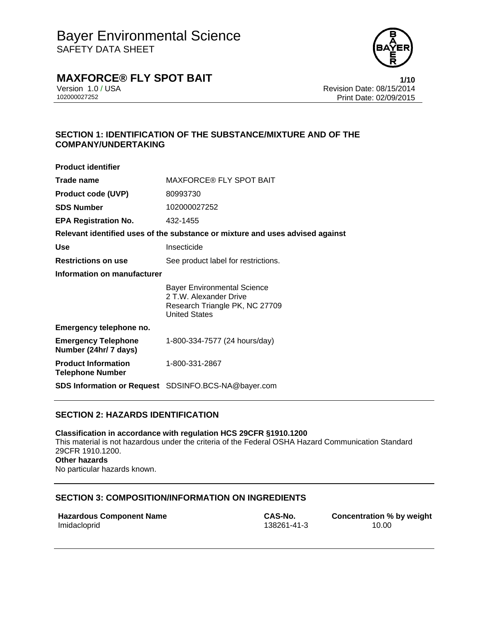

## **MAXFORCE® FLY SPOT BAIT 1/10**

Version 1.0 / USA Revision Date: 08/15/2014<br>102000027252 Print Date: 09/09/2015 Print Date: 02/09/2015

### **SECTION 1: IDENTIFICATION OF THE SUBSTANCE/MIXTURE AND OF THE COMPANY/UNDERTAKING**

| <b>Product identifier</b>                             |                                                                                                                        |  |
|-------------------------------------------------------|------------------------------------------------------------------------------------------------------------------------|--|
| Trade name                                            | <b>MAXFORCE® FLY SPOT BAIT</b>                                                                                         |  |
| <b>Product code (UVP)</b>                             | 80993730                                                                                                               |  |
| <b>SDS Number</b>                                     | 102000027252                                                                                                           |  |
| <b>EPA Registration No.</b>                           | 432-1455                                                                                                               |  |
|                                                       | Relevant identified uses of the substance or mixture and uses advised against                                          |  |
| <b>Use</b>                                            | Insecticide                                                                                                            |  |
| <b>Restrictions on use</b>                            | See product label for restrictions.                                                                                    |  |
| Information on manufacturer                           |                                                                                                                        |  |
|                                                       | <b>Bayer Environmental Science</b><br>2 T.W. Alexander Drive<br>Research Triangle PK, NC 27709<br><b>United States</b> |  |
| Emergency telephone no.                               |                                                                                                                        |  |
| <b>Emergency Telephone</b><br>Number (24hr/ 7 days)   | 1-800-334-7577 (24 hours/day)                                                                                          |  |
| <b>Product Information</b><br><b>Telephone Number</b> | 1-800-331-2867                                                                                                         |  |
|                                                       | <b>SDS Information or Request</b> SDSINFO.BCS-NA@bayer.com                                                             |  |

### **SECTION 2: HAZARDS IDENTIFICATION**

**Classification in accordance with regulation HCS 29CFR §1910.1200**  This material is not hazardous under the criteria of the Federal OSHA Hazard Communication Standard 29CFR 1910.1200. **Other hazards**  No particular hazards known.

### **SECTION 3: COMPOSITION/INFORMATION ON INGREDIENTS**

| <b>Hazardous Component Name</b> |  |
|---------------------------------|--|
| Imidacloprid                    |  |

**CAS-No. Concentration % by weight** 138261-41-3 10.00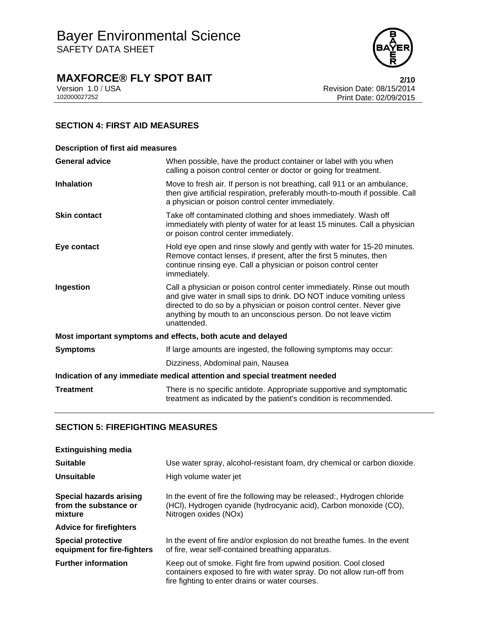

## **MAXFORCE® FLY SPOT BAIT**<br>Version 1.0 / USA **PERITE 2/10**<br>Revision Date: 08/15/2014

Version 1.0 / USA Revision Date: 08/15/2014<br>102000027252<br>Print Date: 02/09/2015 Print Date: 02/09/2015

### **SECTION 4: FIRST AID MEASURES**

| <b>Description of first aid measures</b>                                   |                                                                                                                                                                                                                                                                                                           |  |
|----------------------------------------------------------------------------|-----------------------------------------------------------------------------------------------------------------------------------------------------------------------------------------------------------------------------------------------------------------------------------------------------------|--|
| <b>General advice</b>                                                      | When possible, have the product container or label with you when<br>calling a poison control center or doctor or going for treatment.                                                                                                                                                                     |  |
| <b>Inhalation</b>                                                          | Move to fresh air. If person is not breathing, call 911 or an ambulance,<br>then give artificial respiration, preferably mouth-to-mouth if possible. Call<br>a physician or poison control center immediately.                                                                                            |  |
| <b>Skin contact</b>                                                        | Take off contaminated clothing and shoes immediately. Wash off<br>immediately with plenty of water for at least 15 minutes. Call a physician<br>or poison control center immediately.                                                                                                                     |  |
| Eye contact                                                                | Hold eye open and rinse slowly and gently with water for 15-20 minutes.<br>Remove contact lenses, if present, after the first 5 minutes, then<br>continue rinsing eye. Call a physician or poison control center<br>immediately.                                                                          |  |
| Ingestion                                                                  | Call a physician or poison control center immediately. Rinse out mouth<br>and give water in small sips to drink. DO NOT induce vomiting unless<br>directed to do so by a physician or poison control center. Never give<br>anything by mouth to an unconscious person. Do not leave victim<br>unattended. |  |
| Most important symptoms and effects, both acute and delayed                |                                                                                                                                                                                                                                                                                                           |  |
| <b>Symptoms</b>                                                            | If large amounts are ingested, the following symptoms may occur:                                                                                                                                                                                                                                          |  |
|                                                                            | Dizziness, Abdominal pain, Nausea                                                                                                                                                                                                                                                                         |  |
| Indication of any immediate medical attention and special treatment needed |                                                                                                                                                                                                                                                                                                           |  |
| <b>Treatment</b>                                                           | There is no specific antidote. Appropriate supportive and symptomatic<br>treatment as indicated by the patient's condition is recommended.                                                                                                                                                                |  |

### **SECTION 5: FIREFIGHTING MEASURES**

| <b>Extinguishing media</b>                                  |                                                                                                                                                                                              |
|-------------------------------------------------------------|----------------------------------------------------------------------------------------------------------------------------------------------------------------------------------------------|
| <b>Suitable</b>                                             | Use water spray, alcohol-resistant foam, dry chemical or carbon dioxide.                                                                                                                     |
| Unsuitable                                                  | High volume water jet                                                                                                                                                                        |
| Special hazards arising<br>from the substance or<br>mixture | In the event of fire the following may be released:, Hydrogen chloride<br>(HCI), Hydrogen cyanide (hydrocyanic acid), Carbon monoxide (CO),<br>Nitrogen oxides (NOx)                         |
| <b>Advice for firefighters</b>                              |                                                                                                                                                                                              |
| <b>Special protective</b><br>equipment for fire-fighters    | In the event of fire and/or explosion do not breathe fumes. In the event<br>of fire, wear self-contained breathing apparatus.                                                                |
| <b>Further information</b>                                  | Keep out of smoke. Fight fire from upwind position. Cool closed<br>containers exposed to fire with water spray. Do not allow run-off from<br>fire fighting to enter drains or water courses. |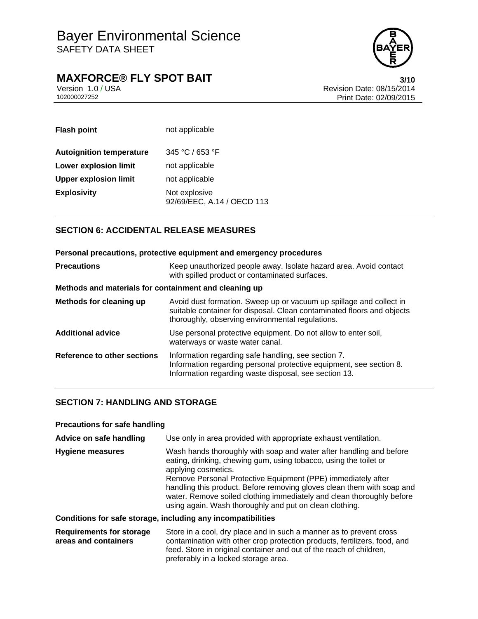

## **MAXFORCE® FLY SPOT BAIT**<br>Version 1.0 / USA **CONTRIGHT** Version Date: 08/15/2014

Version 1.0 / USA Revision Date: 08/15/2014<br>102000027252 Print Date: 09/09/2015 Print Date: 02/09/2015

| <b>Flash point</b>              | not applicable                              |
|---------------------------------|---------------------------------------------|
| <b>Autoignition temperature</b> | 345 °C / 653 °F                             |
| <b>Lower explosion limit</b>    | not applicable                              |
| <b>Upper explosion limit</b>    | not applicable                              |
| <b>Explosivity</b>              | Not explosive<br>92/69/EEC, A.14 / OECD 113 |

### **SECTION 6: ACCIDENTAL RELEASE MEASURES**

| Personal precautions, protective equipment and emergency procedures |                                                                                                                                                                                                   |  |  |
|---------------------------------------------------------------------|---------------------------------------------------------------------------------------------------------------------------------------------------------------------------------------------------|--|--|
| <b>Precautions</b>                                                  | Keep unauthorized people away. Isolate hazard area. Avoid contact<br>with spilled product or contaminated surfaces.                                                                               |  |  |
| Methods and materials for containment and cleaning up               |                                                                                                                                                                                                   |  |  |
| Methods for cleaning up                                             | Avoid dust formation. Sweep up or vacuum up spillage and collect in<br>suitable container for disposal. Clean contaminated floors and objects<br>thoroughly, observing environmental regulations. |  |  |
| <b>Additional advice</b>                                            | Use personal protective equipment. Do not allow to enter soil,<br>waterways or waste water canal.                                                                                                 |  |  |
| Reference to other sections                                         | Information regarding safe handling, see section 7.<br>Information regarding personal protective equipment, see section 8.<br>Information regarding waste disposal, see section 13.               |  |  |

### **SECTION 7: HANDLING AND STORAGE**

| <b>Precautions for safe handling</b> |                                                                                                                                                                                                                                                                                                                                                                                                                                               |
|--------------------------------------|-----------------------------------------------------------------------------------------------------------------------------------------------------------------------------------------------------------------------------------------------------------------------------------------------------------------------------------------------------------------------------------------------------------------------------------------------|
| Advice on safe handling              | Use only in area provided with appropriate exhaust ventilation.                                                                                                                                                                                                                                                                                                                                                                               |
| Hygiene measures                     | Wash hands thoroughly with soap and water after handling and before<br>eating, drinking, chewing gum, using tobacco, using the toilet or<br>applying cosmetics.<br>Remove Personal Protective Equipment (PPE) immediately after<br>handling this product. Before removing gloves clean them with soap and<br>water. Remove soiled clothing immediately and clean thoroughly before<br>using again. Wash thoroughly and put on clean clothing. |
|                                      | Conditions for safe storage, including any incompatibilities                                                                                                                                                                                                                                                                                                                                                                                  |

**Requirements for storage areas and containers** Store in a cool, dry place and in such a manner as to prevent cross contamination with other crop protection products, fertilizers, food, and feed. Store in original container and out of the reach of children, preferably in a locked storage area.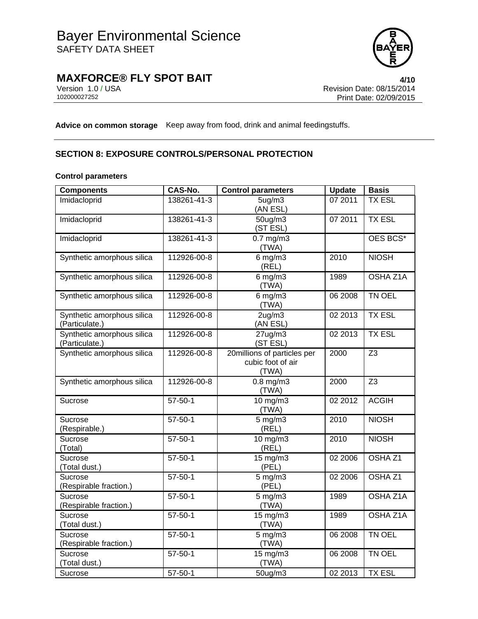

# **MAXFORCE® FLY SPOT BAIT**<br>Version 1.0 / USA **1/10**<br>Revision Date: 08/15/2014

Version 1.0 / USA Revision Date: 08/15/2014<br>102000027252 Print Date: 09/09/2015 Print Date: 02/09/2015

**Advice on common storage** Keep away from food, drink and animal feedingstuffs.

### **SECTION 8: EXPOSURE CONTROLS/PERSONAL PROTECTION**

### **Control parameters**

| <b>Components</b>                 | <b>CAS-No.</b> | <b>Control parameters</b>   | <b>Update</b> | <b>Basis</b>       |
|-----------------------------------|----------------|-----------------------------|---------------|--------------------|
| Imidacloprid                      | 138261-41-3    | 5 <sub>ug</sub> /m3         | 07 2011       | <b>TX ESL</b>      |
|                                   |                | (AN ESL)                    |               |                    |
| Imidacloprid                      | 138261-41-3    | $50$ ug/m $3$               | 07 2011       | <b>TX ESL</b>      |
|                                   |                | (ST ESL)                    |               |                    |
| Imidacloprid                      | 138261-41-3    | $0.7$ mg/m $3$              |               | OES BCS*           |
|                                   |                | (TWA)                       |               |                    |
| Synthetic amorphous silica        | 112926-00-8    | $6 \,\mathrm{mg/m3}$        | 2010          | <b>NIOSH</b>       |
| Synthetic amorphous silica        | 112926-00-8    | (REL)<br>$6$ mg/m $3$       | 1989          | OSHA Z1A           |
|                                   |                | (TWA)                       |               |                    |
| Synthetic amorphous silica        | 112926-00-8    | $6$ mg/m $3$                | 06 2008       | TN OEL             |
|                                   |                | (TWA)                       |               |                    |
| Synthetic amorphous silica        | 112926-00-8    | 2ug/m3                      | 02 2013       | <b>TX ESL</b>      |
| (Particulate.)                    |                | (AN ESL)                    |               |                    |
| Synthetic amorphous silica        | 112926-00-8    | 27ug/m3                     | 02 2013       | <b>TX ESL</b>      |
| (Particulate.)                    |                | (ST ESL)                    |               |                    |
| Synthetic amorphous silica        | 112926-00-8    | 20millions of particles per | 2000          | Z <sub>3</sub>     |
|                                   |                | cubic foot of air           |               |                    |
|                                   |                | (TWA)                       |               |                    |
| Synthetic amorphous silica        | 112926-00-8    | $0.8$ mg/m $3$              | 2000          | $\overline{Z3}$    |
|                                   |                | (TWA)                       |               | <b>ACGIH</b>       |
| Sucrose                           | $57 - 50 - 1$  | $10$ mg/m $3$<br>(TWA)      | 02 2012       |                    |
| Sucrose                           | $57 - 50 - 1$  | $5$ mg/m $3$                | 2010          | <b>NIOSH</b>       |
| (Respirable.)                     |                | (REL)                       |               |                    |
| Sucrose                           | $57 - 50 - 1$  | 10 mg/m3                    | 2010          | <b>NIOSH</b>       |
| (Total)                           |                | (REL)                       |               |                    |
| Sucrose                           | $57 - 50 - 1$  | 15 mg/m3                    | 02 2006       | OSHA <sub>Z1</sub> |
| (Total dust.)                     |                | (PEL)                       |               |                    |
| Sucrose                           | $57 - 50 - 1$  | $5$ mg/m $3$                | 02 2006       | OSHA <sub>Z1</sub> |
| (Respirable fraction.)            |                | (PEL)                       |               |                    |
| Sucrose                           | $57 - 50 - 1$  | $5$ mg/m $3$                | 1989          | <b>OSHA Z1A</b>    |
| (Respirable fraction.)            |                | (TWA)                       |               |                    |
| Sucrose                           | $57 - 50 - 1$  | 15 mg/m3                    | 1989          | <b>OSHA Z1A</b>    |
| (Total dust.)                     |                | (TWA)                       |               |                    |
| Sucrose                           | $57 - 50 - 1$  | $5$ mg/m $3$                | 06 2008       | TN OEL             |
| (Respirable fraction.)<br>Sucrose | $57 - 50 - 1$  | (TWA)                       |               | TN OEL             |
| (Total dust.)                     |                | 15 mg/m3<br>(TWA)           | 06 2008       |                    |
| Sucrose                           | $57 - 50 - 1$  | 50ug/m3                     | 02 2013       | <b>TX ESL</b>      |
|                                   |                |                             |               |                    |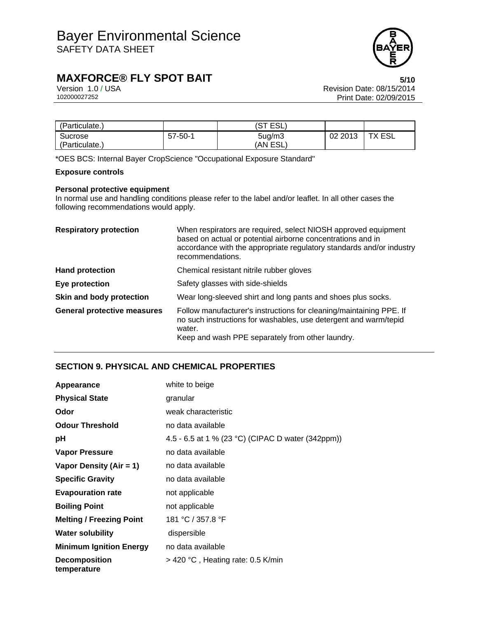

## **MAXFORCE® FLY SPOT BAIT**<br>Version 1.0 / USA **5/10**<br>Revision Date: 08/15/2014

Version 1.0 / USA Revision Date: 08/15/2014<br>102000027252 Print Date: 09/09/2015 Print Date: 02/09/2015

| 'Particulate., |               | (ST ESL)            |         |               |
|----------------|---------------|---------------------|---------|---------------|
| Sucrose        | $57 - 50 - 1$ | 5 <sub>ug</sub> /m3 | 02 2013 | <b>TX ESL</b> |
| 'Particulate., |               | (AN ESL)            |         |               |

\*OES BCS: Internal Bayer CropScience "Occupational Exposure Standard"

### **Exposure controls**

### **Personal protective equipment**

In normal use and handling conditions please refer to the label and/or leaflet. In all other cases the following recommendations would apply.

| <b>Respiratory protection</b>      | When respirators are required, select NIOSH approved equipment<br>based on actual or potential airborne concentrations and in<br>accordance with the appropriate regulatory standards and/or industry<br>recommendations. |  |
|------------------------------------|---------------------------------------------------------------------------------------------------------------------------------------------------------------------------------------------------------------------------|--|
| <b>Hand protection</b>             | Chemical resistant nitrile rubber gloves                                                                                                                                                                                  |  |
| Eye protection                     | Safety glasses with side-shields                                                                                                                                                                                          |  |
| Skin and body protection           | Wear long-sleeved shirt and long pants and shoes plus socks.                                                                                                                                                              |  |
| <b>General protective measures</b> | Follow manufacturer's instructions for cleaning/maintaining PPE. If<br>no such instructions for washables, use detergent and warm/tepid<br>water.<br>Keep and wash PPE separately from other laundry.                     |  |

### **SECTION 9. PHYSICAL AND CHEMICAL PROPERTIES**

| Appearance                          | white to beige                                    |
|-------------------------------------|---------------------------------------------------|
| <b>Physical State</b>               | granular                                          |
| Odor                                | weak characteristic                               |
| <b>Odour Threshold</b>              | no data available                                 |
| рH                                  | 4.5 - 6.5 at 1 % (23 °C) (CIPAC D water (342ppm)) |
| Vapor Pressure                      | no data available                                 |
| Vapor Density (Air = 1)             | no data available                                 |
| <b>Specific Gravity</b>             | no data available                                 |
| <b>Evapouration rate</b>            | not applicable                                    |
| <b>Boiling Point</b>                | not applicable                                    |
| <b>Melting / Freezing Point</b>     | 181 °C / 357.8 °F                                 |
| <b>Water solubility</b>             | dispersible                                       |
| <b>Minimum Ignition Energy</b>      | no data available                                 |
| <b>Decomposition</b><br>temperature | $>$ 420 °C, Heating rate: 0.5 K/min               |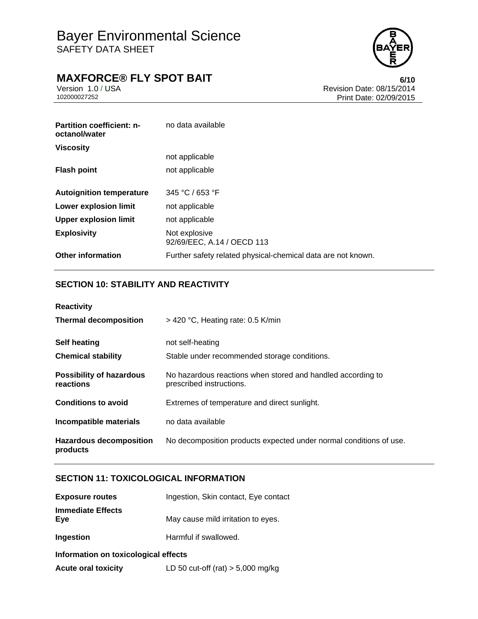

## **MAXFORCE® FLY SPOT BAIT**<br>Version 1.0 / USA **6/10**<br>Revision Date: 08/15/2014

Version 1.0 / USA Revision Date: 08/15/2014<br>102000027252 Print Date: 09/09/2015 Print Date: 02/09/2015

| <b>Partition coefficient: n-</b><br>octanol/water | no data available                                            |
|---------------------------------------------------|--------------------------------------------------------------|
| <b>Viscosity</b>                                  |                                                              |
|                                                   | not applicable                                               |
| <b>Flash point</b>                                | not applicable                                               |
|                                                   |                                                              |
| <b>Autoignition temperature</b>                   | 345 °C / 653 °F                                              |
| <b>Lower explosion limit</b>                      | not applicable                                               |
| <b>Upper explosion limit</b>                      | not applicable                                               |
| <b>Explosivity</b>                                | Not explosive<br>92/69/EEC, A.14 / OECD 113                  |
| <b>Other information</b>                          | Further safety related physical-chemical data are not known. |

### **SECTION 10: STABILITY AND REACTIVITY**

| <b>Reactivity</b>                            |                                                                                         |  |
|----------------------------------------------|-----------------------------------------------------------------------------------------|--|
| <b>Thermal decomposition</b>                 | $>$ 420 °C, Heating rate: 0.5 K/min                                                     |  |
| <b>Self heating</b>                          | not self-heating                                                                        |  |
| <b>Chemical stability</b>                    | Stable under recommended storage conditions.                                            |  |
| <b>Possibility of hazardous</b><br>reactions | No hazardous reactions when stored and handled according to<br>prescribed instructions. |  |
| <b>Conditions to avoid</b>                   | Extremes of temperature and direct sunlight.                                            |  |
| Incompatible materials                       | no data available                                                                       |  |
| <b>Hazardous decomposition</b><br>products   | No decomposition products expected under normal conditions of use.                      |  |

### **SECTION 11: TOXICOLOGICAL INFORMATION**

| <b>Exposure routes</b>               | Ingestion, Skin contact, Eye contact |  |  |
|--------------------------------------|--------------------------------------|--|--|
| <b>Immediate Effects</b><br>Eye      | May cause mild irritation to eyes.   |  |  |
| Ingestion                            | Harmful if swallowed.                |  |  |
| Information on toxicological effects |                                      |  |  |

**Acute oral toxicity** LD 50 cut-off (rat) > 5,000 mg/kg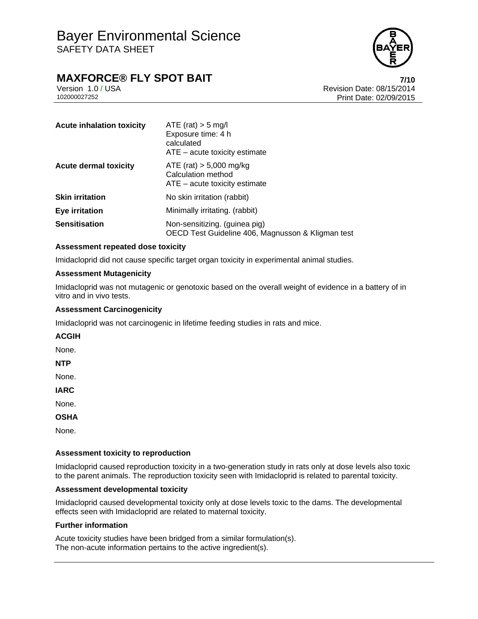

## **MAXFORCE® FLY SPOT BAIT** *7/10*

Version 1.0 / USA Revision Date: 08/15/2014 102000027252 Print Date: 02/09/2015

| <b>Acute inhalation toxicity</b> | ATE (rat) $>$ 5 mg/l<br>Exposure time: 4 h<br>calculated<br>$ATE - acute$ toxicity estimate |
|----------------------------------|---------------------------------------------------------------------------------------------|
| <b>Acute dermal toxicity</b>     | ATE (rat) $> 5,000$ mg/kg<br>Calculation method<br>$ATE - acute$ toxicity estimate          |
| <b>Skin irritation</b>           | No skin irritation (rabbit)                                                                 |
| <b>Eye irritation</b>            | Minimally irritating. (rabbit)                                                              |
| <b>Sensitisation</b>             | Non-sensitizing. (guinea pig)<br>OECD Test Guideline 406, Magnusson & Kligman test          |

### **Assessment repeated dose toxicity**

Imidacloprid did not cause specific target organ toxicity in experimental animal studies.

### **Assessment Mutagenicity**

Imidacloprid was not mutagenic or genotoxic based on the overall weight of evidence in a battery of in vitro and in vivo tests.

### **Assessment Carcinogenicity**

Imidacloprid was not carcinogenic in lifetime feeding studies in rats and mice.

#### **ACGIH**

None.

**NTP** 

None.

**IARC** 

None.

**OSHA** 

None.

#### **Assessment toxicity to reproduction**

Imidacloprid caused reproduction toxicity in a two-generation study in rats only at dose levels also toxic to the parent animals. The reproduction toxicity seen with Imidacloprid is related to parental toxicity.

#### **Assessment developmental toxicity**

Imidacloprid caused developmental toxicity only at dose levels toxic to the dams. The developmental effects seen with Imidacloprid are related to maternal toxicity.

#### **Further information**

Acute toxicity studies have been bridged from a similar formulation(s). The non-acute information pertains to the active ingredient(s).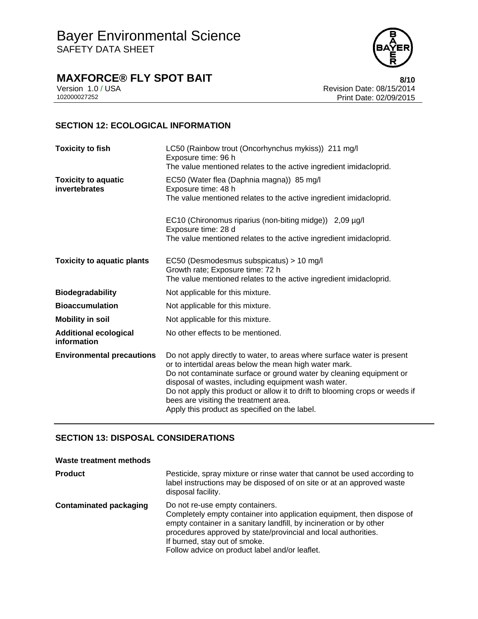

**MAXFORCE® FLY SPOT BAIT**<br>Version 1.0 / USA **8/10**<br>Revision Date: 08/15/2014

Version 1.0 / USA Revision Date: 08/15/2014<br>102000027252<br>Print Date: 02/09/2015 Print Date: 02/09/2015

### **SECTION 12: ECOLOGICAL INFORMATION**

| <b>Toxicity to fish</b>                     | LC50 (Rainbow trout (Oncorhynchus mykiss)) 211 mg/l<br>Exposure time: 96 h<br>The value mentioned relates to the active ingredient imidacloprid.                                                                                                                                                                                                                                                                                          |  |
|---------------------------------------------|-------------------------------------------------------------------------------------------------------------------------------------------------------------------------------------------------------------------------------------------------------------------------------------------------------------------------------------------------------------------------------------------------------------------------------------------|--|
| <b>Toxicity to aquatic</b><br>invertebrates | EC50 (Water flea (Daphnia magna)) 85 mg/l<br>Exposure time: 48 h<br>The value mentioned relates to the active ingredient imidacloprid.                                                                                                                                                                                                                                                                                                    |  |
|                                             | EC10 (Chironomus riparius (non-biting midge)) 2,09 µg/l<br>Exposure time: 28 d<br>The value mentioned relates to the active ingredient imidacloprid.                                                                                                                                                                                                                                                                                      |  |
| <b>Toxicity to aquatic plants</b>           | EC50 (Desmodesmus subspicatus) > 10 mg/l<br>Growth rate; Exposure time: 72 h<br>The value mentioned relates to the active ingredient imidacloprid.                                                                                                                                                                                                                                                                                        |  |
| <b>Biodegradability</b>                     | Not applicable for this mixture.                                                                                                                                                                                                                                                                                                                                                                                                          |  |
| <b>Bioaccumulation</b>                      | Not applicable for this mixture.                                                                                                                                                                                                                                                                                                                                                                                                          |  |
| <b>Mobility in soil</b>                     | Not applicable for this mixture.                                                                                                                                                                                                                                                                                                                                                                                                          |  |
| <b>Additional ecological</b><br>information | No other effects to be mentioned.                                                                                                                                                                                                                                                                                                                                                                                                         |  |
| <b>Environmental precautions</b>            | Do not apply directly to water, to areas where surface water is present<br>or to intertidal areas below the mean high water mark.<br>Do not contaminate surface or ground water by cleaning equipment or<br>disposal of wastes, including equipment wash water.<br>Do not apply this product or allow it to drift to blooming crops or weeds if<br>bees are visiting the treatment area.<br>Apply this product as specified on the label. |  |

### **SECTION 13: DISPOSAL CONSIDERATIONS**

| Waste treatment methods       |                                                                                                                                                                                                                                                                                                                                       |
|-------------------------------|---------------------------------------------------------------------------------------------------------------------------------------------------------------------------------------------------------------------------------------------------------------------------------------------------------------------------------------|
| <b>Product</b>                | Pesticide, spray mixture or rinse water that cannot be used according to<br>label instructions may be disposed of on site or at an approved waste<br>disposal facility.                                                                                                                                                               |
| <b>Contaminated packaging</b> | Do not re-use empty containers.<br>Completely empty container into application equipment, then dispose of<br>empty container in a sanitary landfill, by incineration or by other<br>procedures approved by state/provincial and local authorities.<br>If burned, stay out of smoke.<br>Follow advice on product label and/or leaflet. |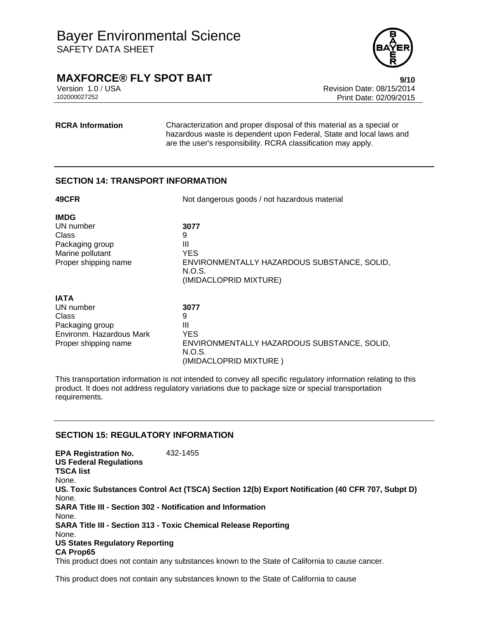

### **MAXFORCE® FLY SPOT BAIT EXECUTES 9/10**

Version 1.0 / USA Revision Date: 08/15/2014<br>102000027252 Print Date: 09/09/2015 Print Date: 02/09/2015

**RCRA Information** Characterization and proper disposal of this material as a special or hazardous waste is dependent upon Federal, State and local laws and are the user's responsibility. RCRA classification may apply.

### **SECTION 14: TRANSPORT INFORMATION**

| 49CFR                                                                                                    | Not dangerous goods / not hazardous material                                                              |  |
|----------------------------------------------------------------------------------------------------------|-----------------------------------------------------------------------------------------------------------|--|
| <b>IMDG</b><br>UN number<br>Class<br>Packaging group<br>Marine pollutant<br>Proper shipping name         | 3077<br>9<br>Ш<br>YES.<br>ENVIRONMENTALLY HAZARDOUS SUBSTANCE, SOLID,<br>N.O.S.<br>(IMIDACLOPRID MIXTURE) |  |
| <b>IATA</b><br>UN number<br>Class<br>Packaging group<br>Environm. Hazardous Mark<br>Proper shipping name | 3077<br>9<br>Ш<br>YES.<br>ENVIRONMENTALLY HAZARDOUS SUBSTANCE, SOLID,<br>N.O.S.<br>(IMIDACLOPRID MIXTURE) |  |

This transportation information is not intended to convey all specific regulatory information relating to this product. It does not address regulatory variations due to package size or special transportation requirements.

### **SECTION 15: REGULATORY INFORMATION**

**EPA Registration No.** 432-1455 **US Federal Regulations TSCA list** None. **US. Toxic Substances Control Act (TSCA) Section 12(b) Export Notification (40 CFR 707, Subpt D)** None. **SARA Title III - Section 302 - Notification and Information** None. **SARA Title III - Section 313 - Toxic Chemical Release Reporting** None. **US States Regulatory Reporting CA Prop65** This product does not contain any substances known to the State of California to cause cancer.

This product does not contain any substances known to the State of California to cause